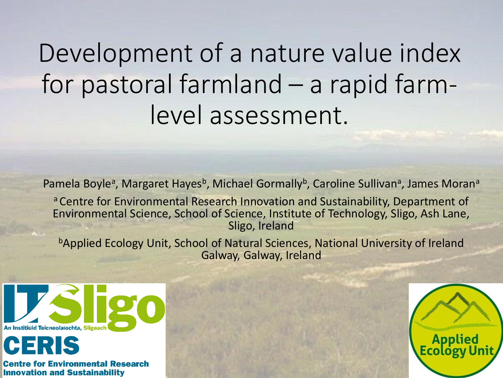# Development of a nature value index for pastoral farmland – a rapid farmlevel assessment.

Pamela Boyle<sup>a</sup>, Margaret Hayes<sup>b</sup>, Michael Gormally<sup>b</sup>, Caroline Sullivan<sup>a</sup>, James Moran<sup>a</sup>

a Centre for Environmental Research Innovation and Sustainability, Department of Environmental Science, School of Science, Institute of Technology, Sligo, Ash Lane, Sligo, Ireland

**bApplied Ecology Unit, School of Natural Sciences, National University of Ireland** Galway, Galway, Ireland



IS or Environmental Research **Innovation and Sustainability** 

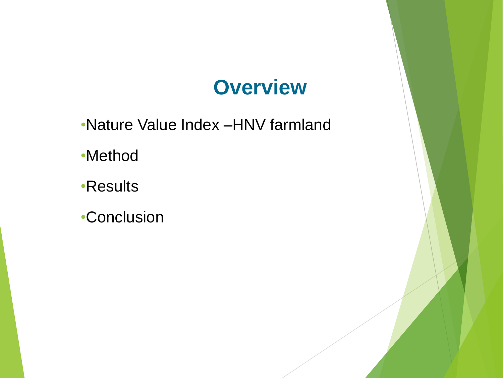#### **Overview**

•Nature Value Index –HNV farmland

•Method

•Results

•Conclusion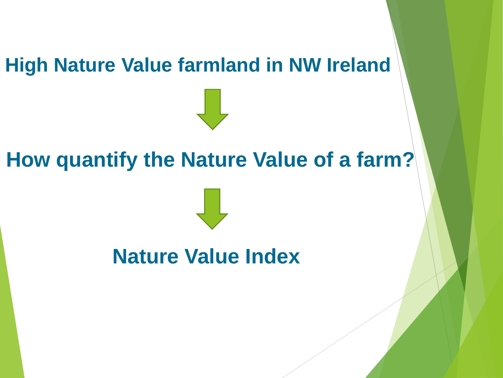#### **High Nature Value farmland in NW Ireland**

#### **How quantify the Nature Value of a farm?**

#### **Nature Value Index**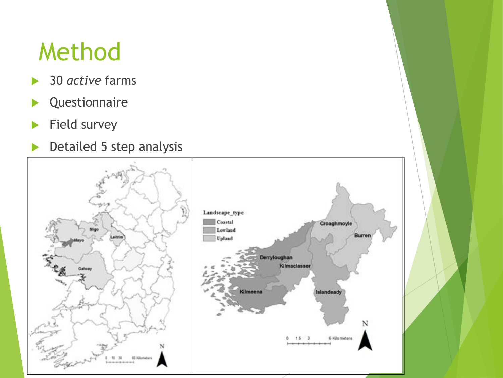## Method

- **▶ 30** *active* farms
- **D**<br>**Questionnaire**
- $\blacktriangleright$  Field survey
- Detailed 5 step analysis

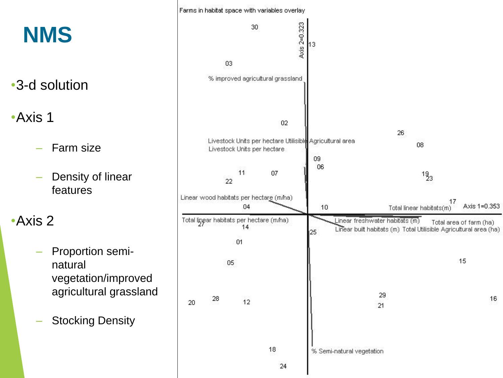

16

Axis 1=0.353

08

 $19_{3}$ 

17

Total area of farm (ha)

15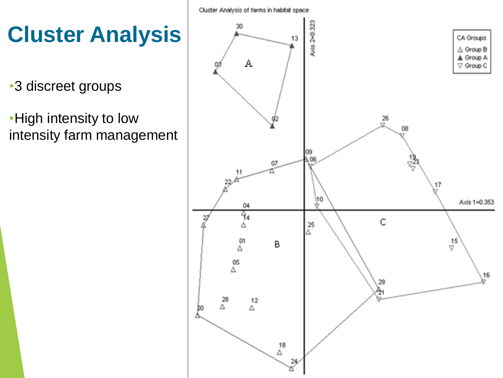**Cluster Analysis**

•3 discreet groups

•High intensity to low intensity farm management

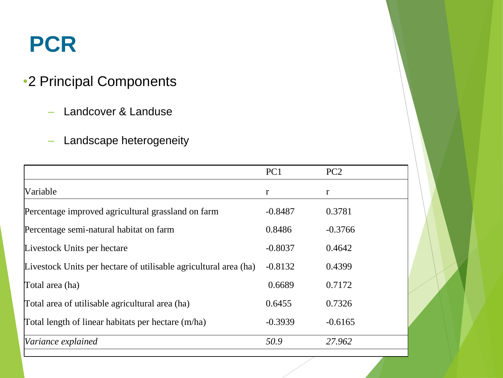#### **PCR**

#### •2 Principal Components

- Landcover & Landuse
- Landscape heterogeneity

|                                                                  | PC1       | PC <sub>2</sub> |
|------------------------------------------------------------------|-----------|-----------------|
| Variable                                                         | r         | r               |
| Percentage improved agricultural grassland on farm               | $-0.8487$ | 0.3781          |
| Percentage semi-natural habitat on farm                          | 0.8486    | $-0.3766$       |
| Livestock Units per hectare                                      | $-0.8037$ | 0.4642          |
| Livestock Units per hectare of utilisable agricultural area (ha) | $-0.8132$ | 0.4399          |
| Total area (ha)                                                  | 0.6689    | 0.7172          |
| Total area of utilisable agricultural area (ha)                  | 0.6455    | 0.7326          |
| Total length of linear habitats per hectare (m/ha)               | $-0.3939$ | $-0.6165$       |
| Variance explained                                               | 50.9      | 27.962          |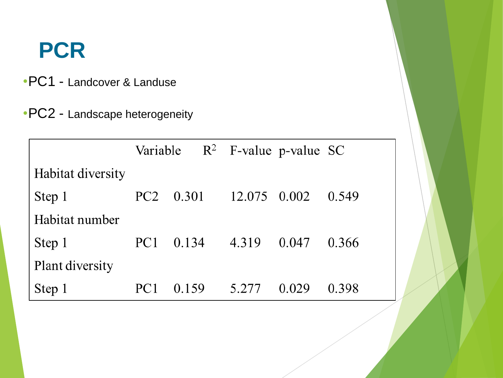#### **PCR**

- •PC1 Landcover & Landuse
- •PC2 Landscape heterogeneity

|                   |                 | Variable $R^2$ F-value p-value SC |              |       |       |
|-------------------|-----------------|-----------------------------------|--------------|-------|-------|
| Habitat diversity |                 |                                   |              |       |       |
| Step 1            | PC <sub>2</sub> | 0.301                             | 12.075 0.002 |       | 0.549 |
| Habitat number    |                 |                                   |              |       |       |
| Step 1            | PC <sub>1</sub> | 0.134                             | 4.319        | 0.047 | 0.366 |
| Plant diversity   |                 |                                   |              |       |       |
| Step 1            |                 | 0.159                             | 5.277        | 0.029 | 0.398 |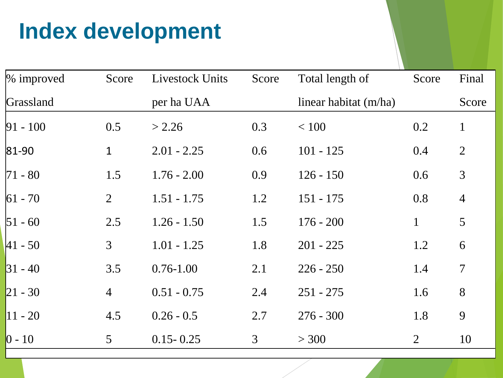### **Index development**

| $\%$ improved | Score           | <b>Livestock Units</b> | Score          | Total length of       | Score          | Final          |
|---------------|-----------------|------------------------|----------------|-----------------------|----------------|----------------|
| Grassland     |                 | per ha UAA             |                | linear habitat (m/ha) |                | Score          |
| $ 91 - 100$   | 0.5             | > 2.26                 | 0.3            | < 100                 | 0.2            | $\mathbf{1}$   |
| $ 81 - 90 $   | $\mathbf{1}$    | $2.01 - 2.25$          | 0.6            | $101 - 125$           | 0.4            | $\overline{2}$ |
| $ 71 - 80$    | 1.5             | $1.76 - 2.00$          | 0.9            | $126 - 150$           | 0.6            | 3              |
| $ 61 - 70 $   | $\overline{2}$  | $1.51 - 1.75$          | 1.2            | $151 - 175$           | 0.8            | $\overline{4}$ |
| $ 51 - 60$    | 2.5             | $1.26 - 1.50$          | 1.5            | $176 - 200$           | $\mathbf{1}$   | 5              |
| $ 41 - 50 $   | 3               | $1.01 - 1.25$          | 1.8            | $201 - 225$           | 1.2            | 6              |
| $ 31 - 40$    | 3.5             | $0.76 - 1.00$          | 2.1            | $226 - 250$           | 1.4            | $\overline{7}$ |
| $ 21 - 30 $   | $\overline{4}$  | $0.51 - 0.75$          | 2.4            | $251 - 275$           | 1.6            | 8              |
| $ 11 - 20$    | 4.5             | $0.26 - 0.5$           | 2.7            | $276 - 300$           | 1.8            | 9              |
| $ 0 - 10 $    | $5\overline{)}$ | $0.15 - 0.25$          | $\mathfrak{Z}$ | > 300                 | $\overline{2}$ | 10             |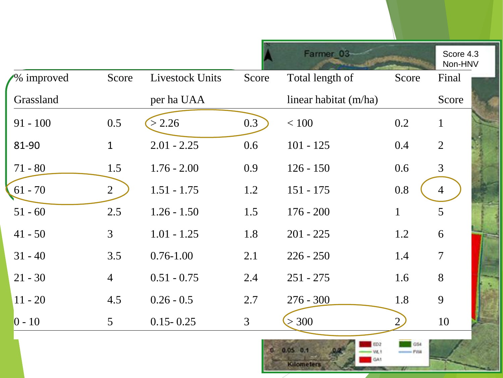|            |                 |                        |                | Farmer 03                   |                | Score 4.3<br>Non-HNV |
|------------|-----------------|------------------------|----------------|-----------------------------|----------------|----------------------|
| % improved | Score           | <b>Livestock Units</b> | Score          | Total length of             | Score          | Final                |
| Grassland  |                 | per ha UAA             |                | linear habitat (m/ha)       |                | Score                |
| $91 - 100$ | 0.5             | > 2.26                 | 0.3            | $<100\,$                    | 0.2            | $\mathbf{1}$         |
| 81-90      | $\mathbf{1}$    | $2.01 - 2.25$          | 0.6            | $101 - 125$                 | 0.4            | $\overline{2}$       |
| $71 - 80$  | 1.5             | $1.76 - 2.00$          | 0.9            | $126 - 150$                 | 0.6            | $\overline{3}$       |
| $61 - 70$  | $\overline{2}$  | $1.51 - 1.75$          | 1.2            | $151 - 175$                 | 0.8            | $\overline{4}$       |
| $51 - 60$  | 2.5             | $1.26 - 1.50$          | 1.5            | $176 - 200$                 | $\mathbf{1}$   | 5                    |
| $41 - 50$  | $\mathfrak{Z}$  | $1.01 - 1.25$          | 1.8            | $201 - 225$                 | 1.2            | 6                    |
| $31 - 40$  | 3.5             | $0.76 - 1.00$          | 2.1            | $226 - 250$                 | 1.4            | $\overline{7}$       |
| $21 - 30$  | $\overline{4}$  | $0.51 - 0.75$          | 2.4            | $251 - 275$                 | 1.6            | 8                    |
| $11 - 20$  | 4.5             | $0.26 - 0.5$           | 2.7            | $276 - 300$                 | 1.8            | 9                    |
| $0 - 10$   | $5\overline{)}$ | $0.15 - 0.25$          | $\overline{3}$ | > 300                       | $\overline{2}$ | 10                   |
|            |                 |                        |                | $0.05 \t 0.1$<br>Kilometers | GS4<br>$ PVA$  |                      |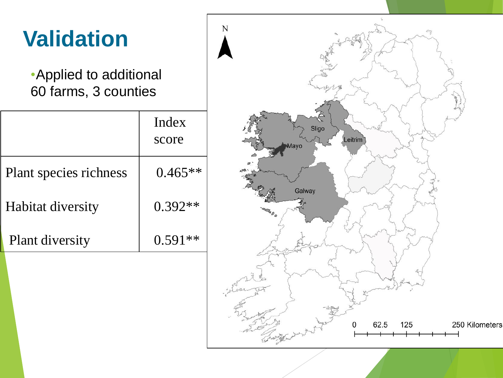| <b>Validation</b>                               |                | N                                                              |
|-------------------------------------------------|----------------|----------------------------------------------------------------|
| • Applied to additional<br>60 farms, 3 counties |                |                                                                |
|                                                 | Index<br>score | Sligo<br>Leitrim<br>Mayo                                       |
| Plant species richness                          | $0.465**$      | Galway                                                         |
| Habitat diversity                               | $0.392**$      |                                                                |
| Plant diversity                                 | $0.591**$      |                                                                |
|                                                 |                | 62.5<br>250 Kilometers<br>Controlled with the only<br>125<br>0 |
|                                                 |                |                                                                |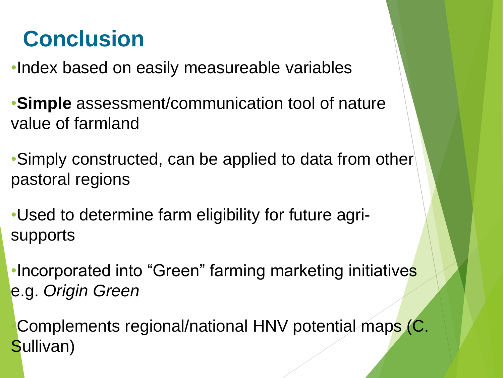### **Conclusion**

•Index based on easily measureable variables

•**Simple** assessment/communication tool of nature value of farmland

•Simply constructed, can be applied to data from other pastoral regions

•Used to determine farm eligibility for future agrisupports

•Incorporated into "Green" farming marketing initiatives e.g. *Origin Green*

•Complements regional/national HNV potential maps (C. Sullivan)